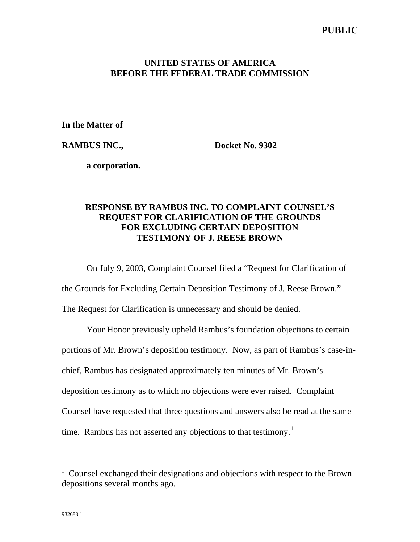## **UNITED STATES OF AMERICA BEFORE THE FEDERAL TRADE COMMISSION**

**In the Matter of**

**RAMBUS INC.,**

**Docket No. 9302**

**a corporation.**

## **RESPONSE BY RAMBUS INC. TO COMPLAINT COUNSEL'S REQUEST FOR CLARIFICATION OF THE GROUNDS FOR EXCLUDING CERTAIN DEPOSITION TESTIMONY OF J. REESE BROWN**

On July 9, 2003, Complaint Counsel filed a "Request for Clarification of

the Grounds for Excluding Certain Deposition Testimony of J. Reese Brown."

The Request for Clarification is unnecessary and should be denied.

Your Honor previously upheld Rambus's foundation objections to certain portions of Mr. Brown's deposition testimony. Now, as part of Rambus's case-inchief, Rambus has designated approximately ten minutes of Mr. Brown's deposition testimony as to which no objections were ever raised. Complaint Counsel have requested that three questions and answers also be read at the same time. Rambus has not asserted any objections to that testimony.<sup>1</sup>

 $\overline{a}$ 

<sup>&</sup>lt;sup>1</sup> Counsel exchanged their designations and objections with respect to the Brown depositions several months ago.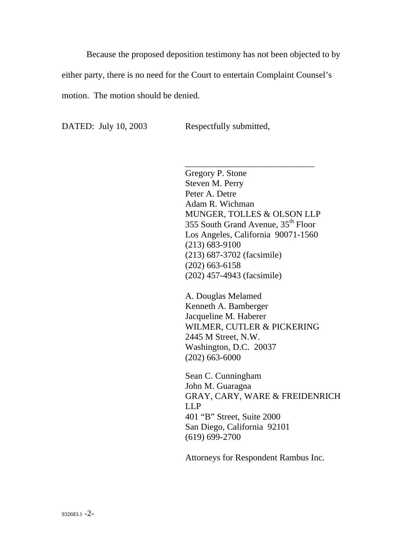Because the proposed deposition testimony has not been objected to by either party, there is no need for the Court to entertain Complaint Counsel's motion. The motion should be denied.

DATED: July 10, 2003 Respectfully submitted,

\_\_\_\_\_\_\_\_\_\_\_\_\_\_\_\_\_\_\_\_\_\_\_\_\_\_\_\_\_ Gregory P. Stone Steven M. Perry Peter A. Detre Adam R. Wichman MUNGER, TOLLES & OLSON LLP 355 South Grand Avenue, 35th Floor Los Angeles, California 90071-1560 (213) 683-9100 (213) 687-3702 (facsimile) (202) 663-6158 (202) 457-4943 (facsimile)

A. Douglas Melamed Kenneth A. Bamberger Jacqueline M. Haberer WILMER, CUTLER & PICKERING 2445 M Street, N.W. Washington, D.C. 20037 (202) 663-6000

Sean C. Cunningham John M. Guaragna GRAY, CARY, WARE & FREIDENRICH LLP 401 "B" Street, Suite 2000 San Diego, California 92101 (619) 699-2700

Attorneys for Respondent Rambus Inc.